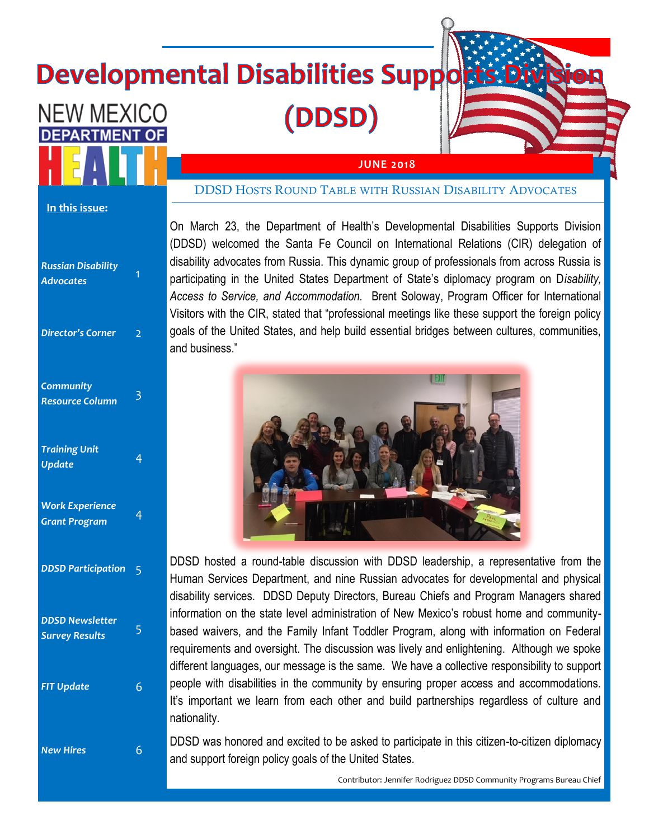# **Developmental Disabilities Supports Divi**

(DDSD)



#### **In this issue:**

**NEW MEXICO** 

**DEPARTMENT** 

| <b>Russian Disability</b><br><b>Advocates</b>   | 1              |
|-------------------------------------------------|----------------|
| <b>Director's Corner</b>                        | $\overline{2}$ |
| <b>Community</b><br><b>Resource Column</b>      | 3              |
| <b>Training Unit</b><br><b>Update</b>           | $\overline{4}$ |
| <b>Work Experience</b><br><b>Grant Program</b>  | 4              |
| <b>DDSD Participation</b>                       | 5              |
| <b>DDSD Newsletter</b><br><b>Survey Results</b> | 5              |
| <b>FIT Update</b>                               | 6              |
| <b>New Hires</b>                                | 6              |

#### DDSD HOSTS ROUND TABLE WITH RUSSIAN DISABILITY ADVOCATES

**JUNE 2018**

On March 23, the Department of Health's Developmental Disabilities Supports Division (DDSD) welcomed the Santa Fe Council on International Relations (CIR) delegation of disability advocates from Russia. This dynamic group of professionals from across Russia is participating in the United States Department of State's diplomacy program on D*isability, Access to Service, and Accommodation.* Brent Soloway, Program Officer for International Visitors with the CIR, stated that "professional meetings like these support the foreign policy goals of the United States, and help build essential bridges between cultures, communities, and business."



DDSD hosted a round-table discussion with DDSD leadership, a representative from the Human Services Department, and nine Russian advocates for developmental and physical disability services. DDSD Deputy Directors, Bureau Chiefs and Program Managers shared information on the state level administration of New Mexico's robust home and communitybased waivers, and the Family Infant Toddler Program, along with information on Federal requirements and oversight. The discussion was lively and enlightening. Although we spoke different languages, our message is the same. We have a collective responsibility to support people with disabilities in the community by ensuring proper access and accommodations. It's important we learn from each other and build partnerships regardless of culture and nationality.

DDSD was honored and excited to be asked to participate in this citizen-to-citizen diplomacy and support foreign policy goals of the United States.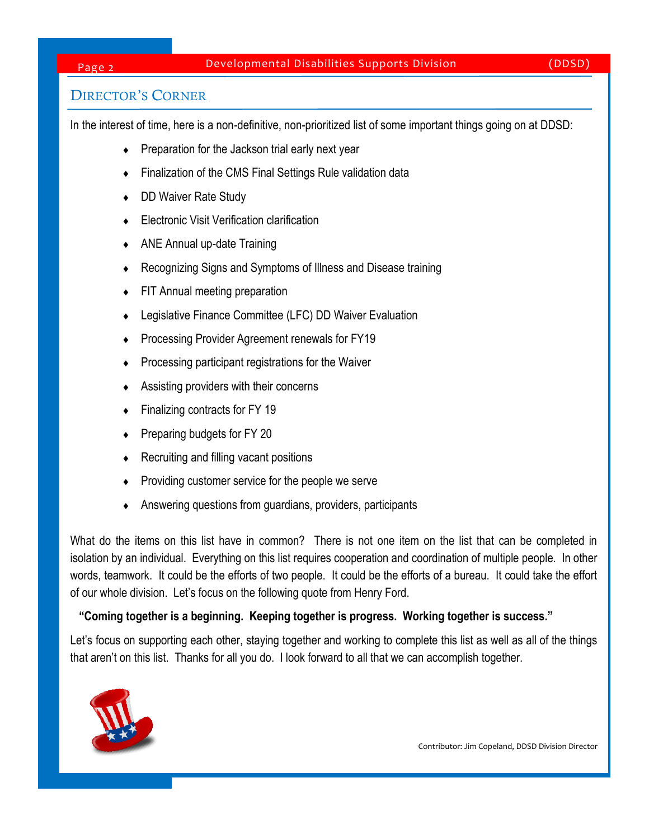## Page 2 Developmental Disabilities Supports Division (DDSD)

# DIRECTOR'S CORNER

In the interest of time, here is a non-definitive, non-prioritized list of some important things going on at DDSD:

- $\leftarrow$  Preparation for the Jackson trial early next year
- Finalization of the CMS Final Settings Rule validation data
- DD Waiver Rate Study
- Electronic Visit Verification clarification
- ANE Annual up-date Training
- Recognizing Signs and Symptoms of Illness and Disease training
- FIT Annual meeting preparation
- Legislative Finance Committee (LFC) DD Waiver Evaluation
- Processing Provider Agreement renewals for FY19
- Processing participant registrations for the Waiver
- Assisting providers with their concerns
- Finalizing contracts for FY 19
- Preparing budgets for FY 20
- Recruiting and filling vacant positions
- Providing customer service for the people we serve
- Answering questions from guardians, providers, participants

What do the items on this list have in common? There is not one item on the list that can be completed in isolation by an individual. Everything on this list requires cooperation and coordination of multiple people. In other words, teamwork. It could be the efforts of two people. It could be the efforts of a bureau. It could take the effort of our whole division. Let's focus on the following quote from Henry Ford.

#### **"Coming together is a beginning. Keeping together is progress. Working together is success."**

Let's focus on supporting each other, staying together and working to complete this list as well as all of the things that aren't on this list. Thanks for all you do. I look forward to all that we can accomplish together.



Contributor: Jim Copeland, DDSD Division Director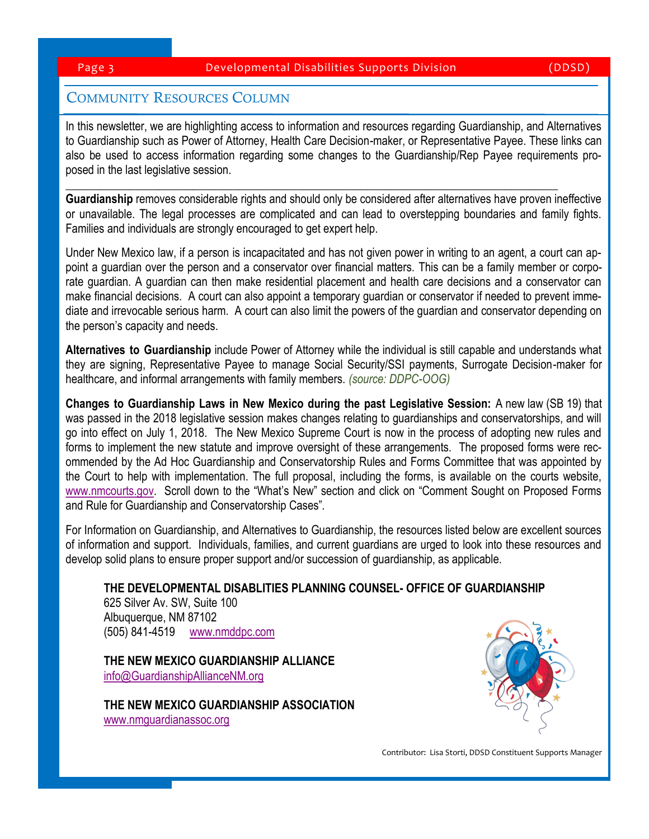# COMMUNITY RESOURCES COLUMN

In this newsletter, we are highlighting access to information and resources regarding Guardianship, and Alternatives to Guardianship such as Power of Attorney, Health Care Decision-maker, or Representative Payee. These links can also be used to access information regarding some changes to the Guardianship/Rep Payee requirements proposed in the last legislative session.

**Guardianship** removes considerable rights and should only be considered after alternatives have proven ineffective or unavailable. The legal processes are complicated and can lead to overstepping boundaries and family fights. Families and individuals are strongly encouraged to get expert help.

**\_\_\_\_\_\_\_\_\_\_\_\_\_\_\_\_\_\_\_\_\_\_\_\_\_\_\_\_\_\_\_\_\_\_\_\_\_\_\_\_\_\_\_\_\_\_\_\_\_\_\_\_\_\_\_\_\_\_\_\_\_\_\_\_\_\_\_\_\_\_\_\_\_\_\_\_\_\_\_\_\_\_\_\_\_**

Under New Mexico law, if a person is incapacitated and has not given power in writing to an agent, a court can appoint a guardian over the person and a conservator over financial matters. This can be a family member or corporate guardian. A guardian can then make residential placement and health care decisions and a conservator can make financial decisions. A court can also appoint a temporary guardian or conservator if needed to prevent immediate and irrevocable serious harm. A court can also limit the powers of the guardian and conservator depending on the person's capacity and needs.

**Alternatives to Guardianship** include Power of Attorney while the individual is still capable and understands what they are signing, Representative Payee to manage Social Security/SSI payments, Surrogate Decision-maker for healthcare, and informal arrangements with family members. *(source: DDPC-OOG)*

**Changes to Guardianship Laws in New Mexico during the past Legislative Session:** A new law (SB 19) that was passed in the 2018 legislative session makes changes relating to guardianships and conservatorships, and will go into effect on July 1, 2018. The New Mexico Supreme Court is now in the process of adopting new rules and forms to implement the new statute and improve oversight of these arrangements. The proposed forms were recommended by the Ad Hoc Guardianship and Conservatorship Rules and Forms Committee that was appointed by the Court to help with implementation. The full proposal, including the forms, is available on the courts website, [www.nmcourts.gov](http://www.nmcourts.gov). Scroll down to the "What's New" section and click on "Comment Sought on Proposed Forms and Rule for Guardianship and Conservatorship Cases".

For Information on Guardianship, and Alternatives to Guardianship, the resources listed below are excellent sources of information and support. Individuals, families, and current guardians are urged to look into these resources and develop solid plans to ensure proper support and/or succession of guardianship, as applicable.

**THE DEVELOPMENTAL DISABLITIES PLANNING COUNSEL- OFFICE OF GUARDIANSHIP**

625 Silver Av. SW, Suite 100 Albuquerque, NM 87102 (505) 841-4519 [www.nmddpc.com](http://www.nmddpc.com)

**THE NEW MEXICO GUARDIANSHIP ALLIANCE** [info@GuardianshipAllianceNM.org](mailto:info@GuardianshipAllianceNM.org)

**THE NEW MEXICO GUARDIANSHIP ASSOCIATION**  [www.nmguardianassoc.org](http://www.nmguardianassoc.org)



Contributor: Lisa Storti, DDSD Constituent Supports Manager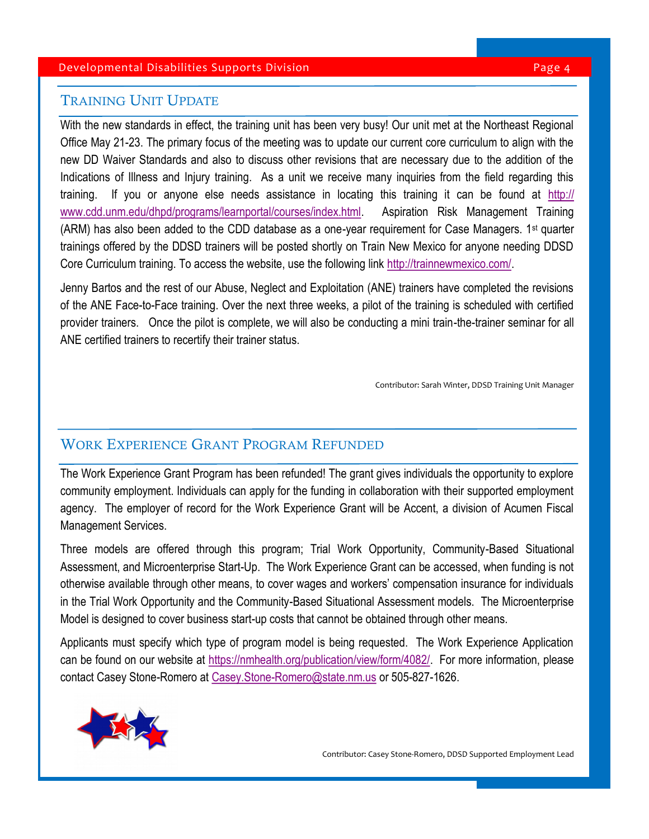#### Developmental Disabilities Supports Division **Page 1** Australian Page 4

# TRAINING UNIT UPDATE

With the new standards in effect, the training unit has been very busy! Our unit met at the Northeast Regional Office May 21-23. The primary focus of the meeting was to update our current core curriculum to align with the new DD Waiver Standards and also to discuss other revisions that are necessary due to the addition of the Indications of Illness and Injury training. As a unit we receive many inquiries from the field regarding this training. If you or anyone else needs assistance in locating this training it can be found at [http://](http://www.cdd.unm.edu/dhpd/programs/learnportal/courses/index.html) [www.cdd.unm.edu/dhpd/programs/learnportal/courses/index.html.](http://www.cdd.unm.edu/dhpd/programs/learnportal/courses/index.html) Aspiration Risk Management Training (ARM) has also been added to the CDD database as a one-year requirement for Case Managers. 1<sup>st</sup> quarter trainings offered by the DDSD trainers will be posted shortly on Train New Mexico for anyone needing DDSD Core Curriculum training. To access the website, use the following link [http://trainnewmexico.com/.](http://trainnewmexico.com/)

Jenny Bartos and the rest of our Abuse, Neglect and Exploitation (ANE) trainers have completed the revisions of the ANE Face-to-Face training. Over the next three weeks, a pilot of the training is scheduled with certified provider trainers. Once the pilot is complete, we will also be conducting a mini train-the-trainer seminar for all ANE certified trainers to recertify their trainer status.

Contributor: Sarah Winter, DDSD Training Unit Manager

# WORK EXPERIENCE GRANT PROGRAM REFUNDED

The Work Experience Grant Program has been refunded! The grant gives individuals the opportunity to explore community employment. Individuals can apply for the funding in collaboration with their supported employment agency. The employer of record for the Work Experience Grant will be Accent, a division of Acumen Fiscal Management Services.

Three models are offered through this program; Trial Work Opportunity, Community-Based Situational Assessment, and Microenterprise Start-Up. The Work Experience Grant can be accessed, when funding is not otherwise available through other means, to cover wages and workers' compensation insurance for individuals in the Trial Work Opportunity and the Community-Based Situational Assessment models. The Microenterprise Model is designed to cover business start-up costs that cannot be obtained through other means.

Applicants must specify which type of program model is being requested. The Work Experience Application can be found on our website at [https://nmhealth.org/publication/view/form/4082/.](https://nmhealth.org/publication/view/form/4082/) For more information, please contact Casey Stone-Romero at [Casey.Stone-Romero@state.nm.us](mailto:Casey.Stone-Romero@state.nm.us) or 505-827-1626.

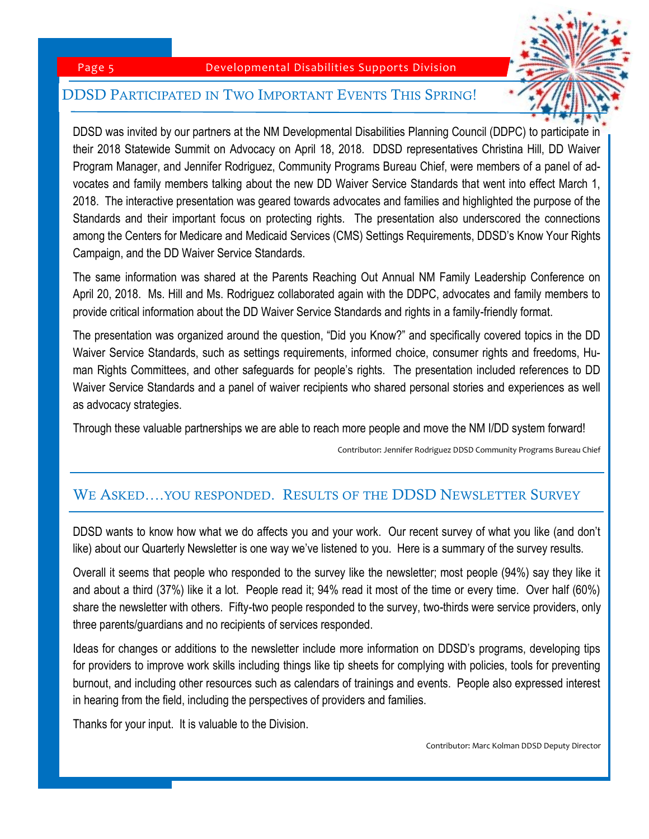#### Page 5 Developmental Disabilities Supports Division

### DDSD PARTICIPATED IN TWO IMPORTANT EVENTS THIS SPRING!

DDSD was invited by our partners at the NM Developmental Disabilities Planning Council (DDPC) to participate in their 2018 Statewide Summit on Advocacy on April 18, 2018. DDSD representatives Christina Hill, DD Waiver Program Manager, and Jennifer Rodriguez, Community Programs Bureau Chief, were members of a panel of advocates and family members talking about the new DD Waiver Service Standards that went into effect March 1, 2018. The interactive presentation was geared towards advocates and families and highlighted the purpose of the Standards and their important focus on protecting rights. The presentation also underscored the connections among the Centers for Medicare and Medicaid Services (CMS) Settings Requirements, DDSD's Know Your Rights Campaign, and the DD Waiver Service Standards.

The same information was shared at the Parents Reaching Out Annual NM Family Leadership Conference on April 20, 2018. Ms. Hill and Ms. Rodriguez collaborated again with the DDPC, advocates and family members to provide critical information about the DD Waiver Service Standards and rights in a family-friendly format.

The presentation was organized around the question, "Did you Know?" and specifically covered topics in the DD Waiver Service Standards, such as settings requirements, informed choice, consumer rights and freedoms, Human Rights Committees, and other safeguards for people's rights. The presentation included references to DD Waiver Service Standards and a panel of waiver recipients who shared personal stories and experiences as well as advocacy strategies.

Through these valuable partnerships we are able to reach more people and move the NM I/DD system forward!

Contributor: Jennifer Rodriguez DDSD Community Programs Bureau Chief

# WE ASKED….YOU RESPONDED. RESULTS OF THE DDSD NEWSLETTER SURVEY

DDSD wants to know how what we do affects you and your work. Our recent survey of what you like (and don't like) about our Quarterly Newsletter is one way we've listened to you. Here is a summary of the survey results.

Overall it seems that people who responded to the survey like the newsletter; most people (94%) say they like it and about a third (37%) like it a lot. People read it; 94% read it most of the time or every time. Over half (60%) share the newsletter with others. Fifty-two people responded to the survey, two-thirds were service providers, only three parents/guardians and no recipients of services responded.

Ideas for changes or additions to the newsletter include more information on DDSD's programs, developing tips for providers to improve work skills including things like tip sheets for complying with policies, tools for preventing burnout, and including other resources such as calendars of trainings and events. People also expressed interest in hearing from the field, including the perspectives of providers and families.

Thanks for your input. It is valuable to the Division.

Contributor: Marc Kolman DDSD Deputy Director